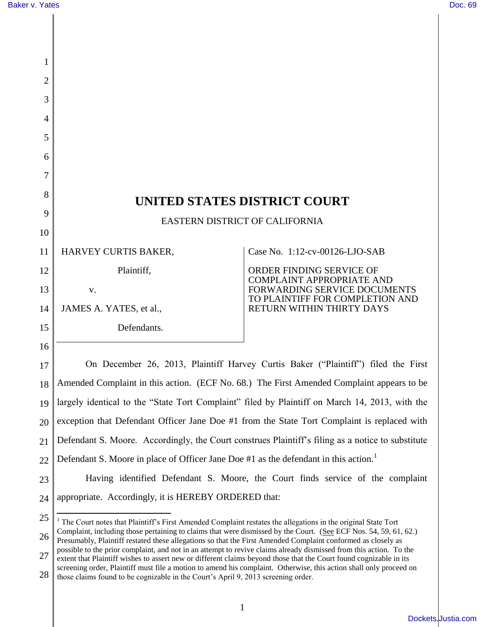| 1  |                                                                                                                                                                                                                                  |                                                                 |  |
|----|----------------------------------------------------------------------------------------------------------------------------------------------------------------------------------------------------------------------------------|-----------------------------------------------------------------|--|
| 2  |                                                                                                                                                                                                                                  |                                                                 |  |
| 3  |                                                                                                                                                                                                                                  |                                                                 |  |
| 4  |                                                                                                                                                                                                                                  |                                                                 |  |
| 5  |                                                                                                                                                                                                                                  |                                                                 |  |
| 6  |                                                                                                                                                                                                                                  |                                                                 |  |
| 7  |                                                                                                                                                                                                                                  |                                                                 |  |
| 8  | UNITED STATES DISTRICT COURT                                                                                                                                                                                                     |                                                                 |  |
| 9  | EASTERN DISTRICT OF CALIFORNIA                                                                                                                                                                                                   |                                                                 |  |
| 10 |                                                                                                                                                                                                                                  |                                                                 |  |
| 11 | HARVEY CURTIS BAKER,                                                                                                                                                                                                             | Case No. 1:12-cv-00126-LJO-SAB                                  |  |
| 12 | Plaintiff,                                                                                                                                                                                                                       | ORDER FINDING SERVICE OF<br><b>COMPLAINT APPROPRIATE AND</b>    |  |
| 13 | V.                                                                                                                                                                                                                               | FORWARDING SERVICE DOCUMENTS<br>TO PLAINTIFF FOR COMPLETION AND |  |
| 14 | JAMES A. YATES, et al.,                                                                                                                                                                                                          | RETURN WITHIN THIRTY DAYS                                       |  |
| 15 | Defendants.                                                                                                                                                                                                                      |                                                                 |  |
| 16 |                                                                                                                                                                                                                                  |                                                                 |  |
| 17 | On December 26, 2013, Plaintiff Harvey Curtis Baker ("Plaintiff") filed the First                                                                                                                                                |                                                                 |  |
| 18 | Amended Complaint in this action. (ECF No. 68.) The First Amended Complaint appears to be                                                                                                                                        |                                                                 |  |
| 19 | largely identical to the "State Tort Complaint" filed by Plaintiff on March 14, 2013, with the                                                                                                                                   |                                                                 |  |
| 20 | exception that Defendant Officer Jane Doe #1 from the State Tort Complaint is replaced with                                                                                                                                      |                                                                 |  |
| 21 | Defendant S. Moore. Accordingly, the Court construes Plaintiff's filing as a notice to substitute                                                                                                                                |                                                                 |  |
| 22 | Defendant S. Moore in place of Officer Jane Doe #1 as the defendant in this action.                                                                                                                                              |                                                                 |  |
| 23 | Having identified Defendant S. Moore, the Court finds service of the complaint                                                                                                                                                   |                                                                 |  |
| 24 | appropriate. Accordingly, it is HEREBY ORDERED that:                                                                                                                                                                             |                                                                 |  |
| 25 | <sup>1</sup> The Court notes that Plaintiff's First Amended Complaint restates the allegations in the original State Tort                                                                                                        |                                                                 |  |
| 26 | Complaint, including those pertaining to claims that were dismissed by the Court. (See ECF Nos. 54, 59, 61, 62.)<br>Presumably, Plaintiff restated these allegations so that the First Amended Complaint conformed as closely as |                                                                 |  |

27 possible to the prior complaint, and not in an attempt to revive claims already dismissed from this action. To the extent that Plaintiff wishes to assert new or different claims beyond those that the Court found cognizable in its screening order, Plaintiff must file a motion to amend his complaint. Otherwise, this action shall only proceed on

28 those claims found to be cognizable in the Court's April 9, 2013 screening order.